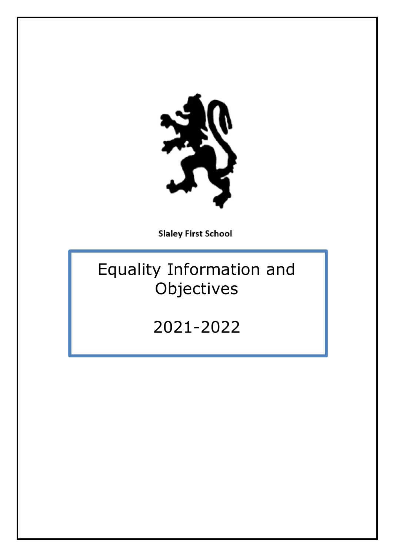

**Slaley First School** 

# Equality Information and Objectives

2021-2022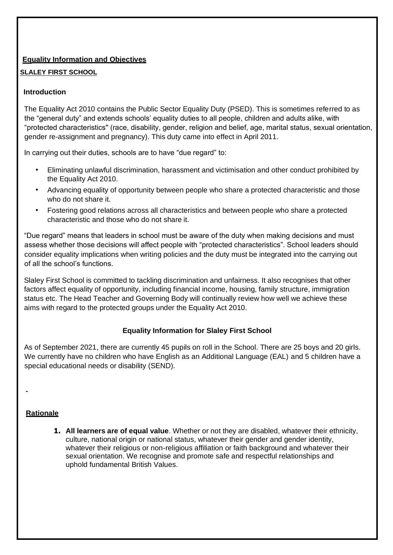## **Equality Information and Objectives**

### **SLALEY FIRST SCHOOL**

### **Introduction**

The Equality Act 2010 contains the Public Sector Equality Duty (PSED). This is sometimes referred to as the "general duty" and extends schools' equality duties to all people, children and adults alike, with "protected characteristics'' (race, disability, gender, religion and belief, age, marital status, sexual orientation, gender re-assignment and pregnancy). This duty came into effect in April 2011.

In carrying out their duties, schools are to have "due regard" to:

- Eliminating unlawful discrimination, harassment and victimisation and other conduct prohibited by the Equality Act 2010.
- Advancing equality of opportunity between people who share a protected characteristic and those who do not share it.
- Fostering good relations across all characteristics and between people who share a protected characteristic and those who do not share it.

"Due regard" means that leaders in school must be aware of the duty when making decisions and must assess whether those decisions will affect people with "protected characteristics". School leaders should consider equality implications when writing policies and the duty must be integrated into the carrying out of all the school's functions.

Slaley First School is committed to tackling discrimination and unfairness. It also recognises that other factors affect equality of opportunity, including financial income, housing, family structure, immigration status etc. The Head Teacher and Governing Body will continually review how well we achieve these aims with regard to the protected groups under the Equality Act 2010.

### **Equality Information for Slaley First School**

As of September 2021, there are currently 45 pupils on roll in the School. There are 25 boys and 20 girls. We currently have no children who have English as an Additional Language (EAL) and 5 children have a special educational needs or disability (SEND).

### **Rationale**

**1. All learners are of equal value**. Whether or not they are disabled, whatever their ethnicity, culture, national origin or national status, whatever their gender and gender identity, whatever their religious or non-religious affiliation or faith background and whatever their sexual orientation. We recognise and promote safe and respectful relationships and uphold fundamental British Values.